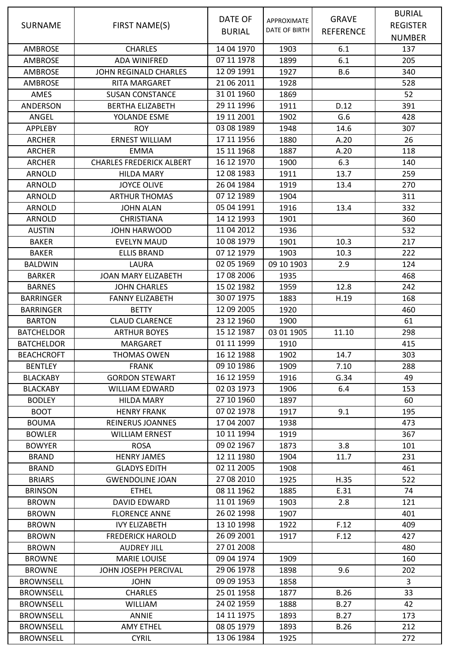|                   |                                 |               |                    |                  | <b>BURIAL</b>   |
|-------------------|---------------------------------|---------------|--------------------|------------------|-----------------|
| <b>SURNAME</b>    | FIRST NAME(S)                   | DATE OF       | <b>APPROXIMATE</b> | <b>GRAVE</b>     | <b>REGISTER</b> |
|                   |                                 | <b>BURIAL</b> | DATE OF BIRTH      | <b>REFERENCE</b> | <b>NUMBER</b>   |
| <b>AMBROSE</b>    | <b>CHARLES</b>                  | 14 04 1970    | 1903               | 6.1              | 137             |
| <b>AMBROSE</b>    | <b>ADA WINIFRED</b>             | 07 11 1978    | 1899               | 6.1              | 205             |
| <b>AMBROSE</b>    | JOHN REGINALD CHARLES           | 12 09 1991    | 1927               | <b>B.6</b>       | 340             |
| <b>AMBROSE</b>    | RITA MARGARET                   | 21 06 2011    | 1928               |                  | 528             |
| AMES              | <b>SUSAN CONSTANCE</b>          | 31 01 1960    | 1869               |                  | 52              |
|                   |                                 | 29 11 1996    | 1911               | D.12             | 391             |
| ANDERSON          | <b>BERTHA ELIZABETH</b>         | 19 11 2001    |                    | G.6              |                 |
| ANGEL             | YOLANDE ESME                    | 03 08 1989    | 1902               |                  | 428             |
| <b>APPLEBY</b>    | <b>ROY</b>                      |               | 1948               | 14.6             | 307             |
| <b>ARCHER</b>     | <b>ERNEST WILLIAM</b>           | 17 11 1956    | 1880               | A.20             | 26              |
| <b>ARCHER</b>     | <b>EMMA</b>                     | 15 11 1968    | 1887               | A.20             | 118             |
| <b>ARCHER</b>     | <b>CHARLES FREDERICK ALBERT</b> | 16 12 1970    | 1900               | 6.3              | 140             |
| <b>ARNOLD</b>     | <b>HILDA MARY</b>               | 12 08 1983    | 1911               | 13.7             | 259             |
| ARNOLD            | <b>JOYCE OLIVE</b>              | 26 04 1984    | 1919               | 13.4             | 270             |
| ARNOLD            | <b>ARTHUR THOMAS</b>            | 07 12 1989    | 1904               |                  | 311             |
| ARNOLD            | <b>JOHN ALAN</b>                | 05 04 1991    | 1916               | 13.4             | 332             |
| <b>ARNOLD</b>     | <b>CHRISTIANA</b>               | 14 12 1993    | 1901               |                  | 360             |
| <b>AUSTIN</b>     | <b>JOHN HARWOOD</b>             | 11 04 2012    | 1936               |                  | 532             |
| <b>BAKER</b>      | <b>EVELYN MAUD</b>              | 10 08 1979    | 1901               | 10.3             | 217             |
| <b>BAKER</b>      | <b>ELLIS BRAND</b>              | 07 12 1979    | 1903               | 10.3             | 222             |
| <b>BALDWIN</b>    | LAURA                           | 02 05 1969    | 09 10 1903         | 2.9              | 124             |
| <b>BARKER</b>     | <b>JOAN MARY ELIZABETH</b>      | 17 08 2006    | 1935               |                  | 468             |
| <b>BARNES</b>     | <b>JOHN CHARLES</b>             | 15 02 1982    | 1959               | 12.8             | 242             |
| <b>BARRINGER</b>  | <b>FANNY ELIZABETH</b>          | 30 07 1975    | 1883               | H.19             | 168             |
| <b>BARRINGER</b>  | <b>BETTY</b>                    | 12 09 2005    | 1920               |                  | 460             |
| <b>BARTON</b>     | <b>CLAUD CLARENCE</b>           | 23 12 1960    | 1900               |                  | 61              |
| <b>BATCHELDOR</b> | <b>ARTHUR BOYES</b>             | 15 12 1987    | 03 01 1905         | 11.10            | 298             |
| <b>BATCHELDOR</b> | <b>MARGARET</b>                 | 01 11 1999    | 1910               |                  | 415             |
| <b>BEACHCROFT</b> | <b>THOMAS OWEN</b>              | 16 12 1988    | 1902               | 14.7             | 303             |
| <b>BENTLEY</b>    | <b>FRANK</b>                    | 09 10 1986    | 1909               | 7.10             | 288             |
| <b>BLACKABY</b>   | <b>GORDON STEWART</b>           | 16 12 1959    | 1916               | G.34             | 49              |
| <b>BLACKABY</b>   | <b>WILLIAM EDWARD</b>           | 02 03 1973    | 1906               | 6.4              | 153             |
| <b>BODLEY</b>     | <b>HILDA MARY</b>               | 27 10 1960    | 1897               |                  | 60              |
| <b>BOOT</b>       | <b>HENRY FRANK</b>              | 07 02 1978    | 1917               | 9.1              | 195             |
| <b>BOUMA</b>      | REINERUS JOANNES                | 17 04 2007    | 1938               |                  | 473             |
| <b>BOWLER</b>     | <b>WILLIAM ERNEST</b>           | 10 11 1994    | 1919               |                  | 367             |
| <b>BOWYER</b>     | <b>ROSA</b>                     | 09 02 1967    | 1873               | 3.8              | 101             |
| <b>BRAND</b>      | <b>HENRY JAMES</b>              | 12 11 1980    | 1904               | 11.7             | 231             |
| <b>BRAND</b>      | <b>GLADYS EDITH</b>             | 02 11 2005    | 1908               |                  | 461             |
| <b>BRIARS</b>     | <b>GWENDOLINE JOAN</b>          | 27 08 2010    | 1925               | H.35             | 522             |
| <b>BRINSON</b>    | <b>ETHEL</b>                    | 08 11 1962    | 1885               | E.31             | 74              |
| <b>BROWN</b>      | <b>DAVID EDWARD</b>             | 11 01 1969    | 1903               | 2.8              | 121             |
| <b>BROWN</b>      | <b>FLORENCE ANNE</b>            | 26 02 1998    | 1907               |                  | 401             |
| <b>BROWN</b>      | <b>IVY ELIZABETH</b>            | 13 10 1998    | 1922               | F.12             | 409             |
| <b>BROWN</b>      | <b>FREDERICK HAROLD</b>         | 26 09 2001    | 1917               | F.12             | 427             |
| <b>BROWN</b>      | <b>AUDREY JILL</b>              | 27 01 2008    |                    |                  | 480             |
| <b>BROWNE</b>     | <b>MARIE LOUISE</b>             | 09 04 1974    | 1909               |                  | 160             |
| <b>BROWNE</b>     | JOHN JOSEPH PERCIVAL            | 29 06 1978    | 1898               | 9.6              | 202             |
| <b>BROWNSELL</b>  | <b>JOHN</b>                     | 09 09 1953    | 1858               |                  | 3               |
| <b>BROWNSELL</b>  | <b>CHARLES</b>                  | 25 01 1958    | 1877               | <b>B.26</b>      | 33              |
| <b>BROWNSELL</b>  | <b>WILLIAM</b>                  | 24 02 1959    | 1888               | <b>B.27</b>      | 42              |
| <b>BROWNSELL</b>  | ANNIE                           | 14 11 1975    | 1893               | <b>B.27</b>      | 173             |
| <b>BROWNSELL</b>  | <b>AMY ETHEL</b>                | 08 05 1979    | 1893               | <b>B.26</b>      | 212             |
| <b>BROWNSELL</b>  | <b>CYRIL</b>                    | 13 06 1984    | 1925               |                  | 272             |
|                   |                                 |               |                    |                  |                 |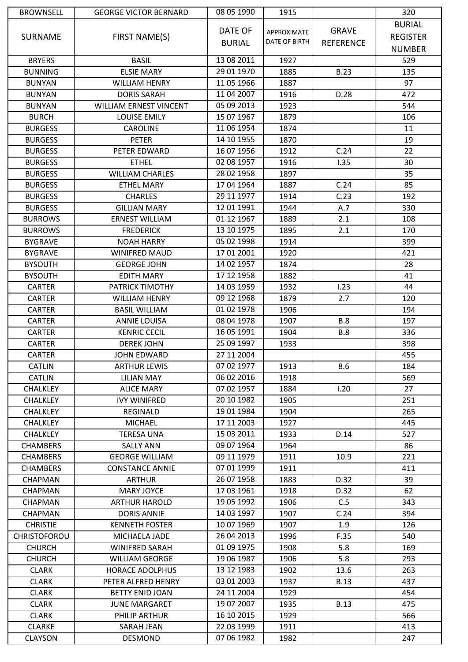| <b>BROWNSELL</b>    | <b>GEORGE VICTOR BERNARD</b>  | 08 05 1990    | 1915          |                  | 320             |
|---------------------|-------------------------------|---------------|---------------|------------------|-----------------|
|                     |                               |               |               |                  | <b>BURIAL</b>   |
| <b>SURNAME</b>      | FIRST NAME(S)                 | DATE OF       | APPROXIMATE   | <b>GRAVE</b>     | <b>REGISTER</b> |
|                     |                               | <b>BURIAL</b> | DATE OF BIRTH | <b>REFERENCE</b> | <b>NUMBER</b>   |
| <b>BRYERS</b>       | <b>BASIL</b>                  | 13 08 2011    | 1927          |                  | 529             |
| <b>BUNNING</b>      | <b>ELSIE MARY</b>             | 29 01 1970    | 1885          | <b>B.23</b>      | 135             |
| <b>BUNYAN</b>       | <b>WILLIAM HENRY</b>          | 11 05 1966    | 1887          |                  | 97              |
| <b>BUNYAN</b>       | <b>DORIS SARAH</b>            | 11 04 2007    | 1916          | D.28             | 472             |
| <b>BUNYAN</b>       | <b>WILLIAM ERNEST VINCENT</b> | 05 09 2013    | 1923          |                  | 544             |
| <b>BURCH</b>        | <b>LOUISE EMILY</b>           | 15 07 1967    | 1879          |                  | 106             |
| <b>BURGESS</b>      | CAROLINE                      | 11 06 1954    | 1874          |                  | 11              |
| <b>BURGESS</b>      | <b>PETER</b>                  | 14 10 1955    | 1870          |                  | 19              |
| <b>BURGESS</b>      | PETER EDWARD                  | 16 07 1956    | 1912          | C.24             | 22              |
| <b>BURGESS</b>      | <b>ETHEL</b>                  | 02 08 1957    | 1916          | 1.35             | 30              |
| <b>BURGESS</b>      | <b>WILLIAM CHARLES</b>        | 28 02 1958    | 1897          |                  | 35              |
| <b>BURGESS</b>      | <b>ETHEL MARY</b>             | 17 04 1964    | 1887          | C.24             | 85              |
| <b>BURGESS</b>      | <b>CHARLES</b>                | 29 11 1977    | 1914          | C.23             | 192             |
| <b>BURGESS</b>      | <b>GILLIAN MARY</b>           | 12 01 1991    | 1944          | A.7              | 330             |
| <b>BURROWS</b>      | <b>ERNEST WILLIAM</b>         | 01 12 1967    | 1889          | 2.1              | 108             |
| <b>BURROWS</b>      | <b>FREDERICK</b>              | 13 10 1975    | 1895          | 2.1              | 170             |
| <b>BYGRAVE</b>      | <b>NOAH HARRY</b>             | 05 02 1998    | 1914          |                  | 399             |
| <b>BYGRAVE</b>      | <b>WINIFRED MAUD</b>          | 17 01 2001    | 1920          |                  | 421             |
| <b>BYSOUTH</b>      | <b>GEORGE JOHN</b>            | 14 02 1957    | 1874          |                  | 28              |
| <b>BYSOUTH</b>      | <b>EDITH MARY</b>             | 17 12 1958    | 1882          |                  | 41              |
| <b>CARTER</b>       | PATRICK TIMOTHY               | 14 03 1959    | 1932          | 1.23             | 44              |
| <b>CARTER</b>       | <b>WILLIAM HENRY</b>          | 09 12 1968    | 1879          | 2.7              | 120             |
| <b>CARTER</b>       | <b>BASIL WILLIAM</b>          | 01 02 1978    | 1906          |                  | 194             |
| <b>CARTER</b>       | <b>ANNIE LOUISA</b>           | 08 04 1978    | 1907          | <b>B.8</b>       | 197             |
| <b>CARTER</b>       | <b>KENRIC CECIL</b>           | 16 05 1991    | 1904          | <b>B.8</b>       | 336             |
| <b>CARTER</b>       | <b>DEREK JOHN</b>             | 25 09 1997    | 1933          |                  | 398             |
| <b>CARTER</b>       | <b>JOHN EDWARD</b>            | 27 11 2004    |               |                  | 455             |
| <b>CATLIN</b>       | <b>ARTHUR LEWIS</b>           | 07 02 1977    | 1913          | 8.6              | 184             |
| <b>CATLIN</b>       | <b>LILIAN MAY</b>             | 06 02 2016    | 1918          |                  | 569             |
| <b>CHALKLEY</b>     | <b>ALICE MARY</b>             | 07 02 1957    | 1884          | 1.20             | 27              |
| <b>CHALKLEY</b>     | <b>IVY WINIFRED</b>           | 20 10 1982    | 1905          |                  | 251             |
| <b>CHALKLEY</b>     | <b>REGINALD</b>               | 19 01 1984    | 1904          |                  | 265             |
| <b>CHALKLEY</b>     | <b>MICHAEL</b>                | 17 11 2003    | 1927          |                  | 445             |
| <b>CHALKLEY</b>     | <b>TERESA UNA</b>             | 15 03 2011    | 1933          | D.14             | 527             |
| <b>CHAMBERS</b>     | <b>SALLY ANN</b>              | 09 07 1964    | 1964          |                  | 86              |
| <b>CHAMBERS</b>     | <b>GEORGE WILLIAM</b>         | 09 11 1979    | 1911          | 10.9             | 221             |
| <b>CHAMBERS</b>     | <b>CONSTANCE ANNIE</b>        | 07 01 1999    | 1911          |                  | 411             |
| <b>CHAPMAN</b>      | <b>ARTHUR</b>                 | 26 07 1958    | 1883          | D.32             | 39              |
| <b>CHAPMAN</b>      | <b>MARY JOYCE</b>             | 17 03 1961    | 1918          | D.32             | 62              |
| <b>CHAPMAN</b>      | <b>ARTHUR HAROLD</b>          | 19 05 1992    | 1906          | C.5              | 343             |
| <b>CHAPMAN</b>      | <b>DORIS ANNIE</b>            | 14 03 1997    | 1907          | C.24             | 394             |
| <b>CHRISTIE</b>     | <b>KENNETH FOSTER</b>         | 10 07 1969    | 1907          | 1.9              | 126             |
| <b>CHRISTOFOROU</b> | MICHAELA JADE                 | 26 04 2013    | 1996          | F.35             | 540             |
| <b>CHURCH</b>       | WINIFRED SARAH                | 01 09 1975    | 1908          | 5.8              | 169             |
| <b>CHURCH</b>       | <b>WILLIAM GEORGE</b>         | 19 06 1987    | 1906          | 5.8              | 293             |
| <b>CLARK</b>        | <b>HORACE ADOLPHUS</b>        | 13 12 1983    | 1902          | 13.6             | 263             |
| <b>CLARK</b>        | PETER ALFRED HENRY            | 03 01 2003    | 1937          | <b>B.13</b>      | 437             |
| <b>CLARK</b>        | BETTY ENID JOAN               | 24 11 2004    | 1929          |                  | 454             |
| <b>CLARK</b>        | <b>JUNE MARGARET</b>          | 19 07 2007    | 1935          | <b>B.13</b>      | 475             |
| <b>CLARK</b>        | PHILIP ARTHUR                 | 16 10 2015    | 1929          |                  | 566             |
|                     | SARAH JEAN                    | 22 03 1999    | 1911          |                  | 413             |
| <b>CLARKE</b>       |                               |               |               |                  |                 |
| <b>CLAYSON</b>      | <b>DESMOND</b>                | 07 06 1982    | 1982          |                  | 247             |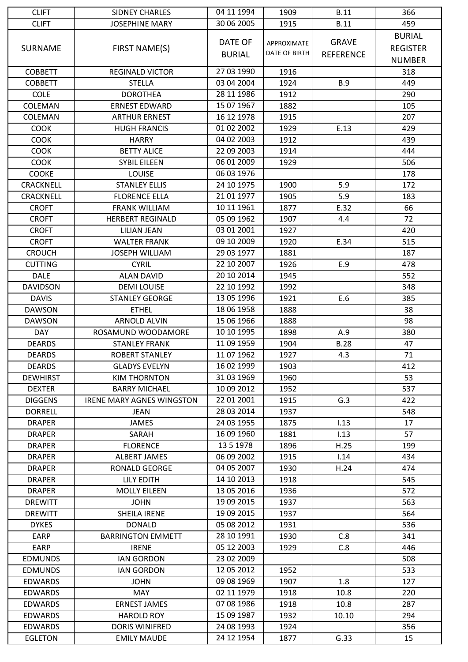| <b>CLIFT</b>     | <b>SIDNEY CHARLES</b>            | 04 11 1994    | 1909          | <b>B.11</b>      | 366             |
|------------------|----------------------------------|---------------|---------------|------------------|-----------------|
| <b>CLIFT</b>     | <b>JOSEPHINE MARY</b>            | 30 06 2005    | 1915          | <b>B.11</b>      | 459             |
|                  |                                  |               |               |                  | <b>BURIAL</b>   |
| <b>SURNAME</b>   | FIRST NAME(S)                    | DATE OF       | APPROXIMATE   | <b>GRAVE</b>     | <b>REGISTER</b> |
|                  |                                  | <b>BURIAL</b> | DATE OF BIRTH | <b>REFERENCE</b> | <b>NUMBER</b>   |
| <b>COBBETT</b>   | <b>REGINALD VICTOR</b>           | 27 03 1990    | 1916          |                  | 318             |
| <b>COBBETT</b>   | <b>STELLA</b>                    | 03 04 2004    | 1924          | <b>B.9</b>       | 449             |
| <b>COLE</b>      | <b>DOROTHEA</b>                  | 28 11 1986    | 1912          |                  | 290             |
| COLEMAN          | <b>ERNEST EDWARD</b>             | 15 07 1967    | 1882          |                  | 105             |
|                  | <b>ARTHUR ERNEST</b>             | 16 12 1978    |               |                  | 207             |
| COLEMAN          |                                  | 01 02 2002    | 1915          |                  | 429             |
| <b>COOK</b>      | <b>HUGH FRANCIS</b>              |               | 1929          | E.13             |                 |
| <b>COOK</b>      | <b>HARRY</b>                     | 04 02 2003    | 1912          |                  | 439             |
| <b>COOK</b>      | <b>BETTY ALICE</b>               | 22 09 2003    | 1914          |                  | 444             |
| <b>COOK</b>      | <b>SYBIL EILEEN</b>              | 06 01 2009    | 1929          |                  | 506             |
| <b>COOKE</b>     | <b>LOUISE</b>                    | 06 03 1976    |               |                  | 178             |
| <b>CRACKNELL</b> | <b>STANLEY ELLIS</b>             | 24 10 1975    | 1900          | 5.9              | 172             |
| <b>CRACKNELL</b> | <b>FLORENCE ELLA</b>             | 21 01 1977    | 1905          | 5.9              | 183             |
| <b>CROFT</b>     | <b>FRANK WILLIAM</b>             | 10 11 1961    | 1877          | E.32             | 66              |
| <b>CROFT</b>     | <b>HERBERT REGINALD</b>          | 05 09 1962    | 1907          | 4.4              | 72              |
| <b>CROFT</b>     | <b>LILIAN JEAN</b>               | 03 01 2001    | 1927          |                  | 420             |
| <b>CROFT</b>     | <b>WALTER FRANK</b>              | 09 10 2009    | 1920          | E.34             | 515             |
| <b>CROUCH</b>    | <b>JOSEPH WILLIAM</b>            | 29 03 1977    | 1881          |                  | 187             |
| <b>CUTTING</b>   | <b>CYRIL</b>                     | 22 10 2007    | 1926          | E.9              | 478             |
| <b>DALE</b>      | <b>ALAN DAVID</b>                | 20 10 2014    | 1945          |                  | 552             |
| <b>DAVIDSON</b>  | <b>DEMI LOUISE</b>               | 22 10 1992    | 1992          |                  | 348             |
| <b>DAVIS</b>     | <b>STANLEY GEORGE</b>            | 13 05 1996    | 1921          | E.6              | 385             |
| <b>DAWSON</b>    | <b>ETHEL</b>                     | 18 06 1958    | 1888          |                  | 38              |
| <b>DAWSON</b>    | <b>ARNOLD ALVIN</b>              | 15 06 1966    | 1888          |                  | 98              |
| <b>DAY</b>       | ROSAMUND WOODAMORE               | 10 10 1995    | 1898          | A.9              | 380             |
| <b>DEARDS</b>    | <b>STANLEY FRANK</b>             | 11 09 1959    | 1904          | <b>B.28</b>      | 47              |
| <b>DEARDS</b>    | <b>ROBERT STANLEY</b>            | 11 07 1962    | 1927          | 4.3              | 71              |
| <b>DEARDS</b>    | <b>GLADYS EVELYN</b>             | 16 02 1999    | 1903          |                  | 412             |
| <b>DEWHIRST</b>  | <b>KIM THORNTON</b>              | 31 03 1969    | 1960          |                  | 53              |
| <b>DEXTER</b>    | <b>BARRY MICHAEL</b>             | 10 09 2012    | 1952          |                  | 537             |
| <b>DIGGENS</b>   | <b>IRENE MARY AGNES WINGSTON</b> | 22 01 2001    | 1915          | G.3              | 422             |
| <b>DORRELL</b>   | JEAN                             | 28 03 2014    | 1937          |                  | 548             |
| <b>DRAPER</b>    | <b>JAMES</b>                     | 24 03 1955    | 1875          | 1.13             | 17              |
| <b>DRAPER</b>    | SARAH                            | 16 09 1960    | 1881          | 1.13             | 57              |
| <b>DRAPER</b>    | <b>FLORENCE</b>                  | 13 5 1978     | 1896          | H.25             | 199             |
| <b>DRAPER</b>    | ALBERT JAMES                     | 06 09 2002    | 1915          | 1.14             | 434             |
| <b>DRAPER</b>    | <b>RONALD GEORGE</b>             | 04 05 2007    | 1930          | H.24             | 474             |
| <b>DRAPER</b>    | <b>LILY EDITH</b>                | 14 10 2013    | 1918          |                  | 545             |
| <b>DRAPER</b>    | <b>MOLLY EILEEN</b>              | 13 05 2016    | 1936          |                  | 572             |
| <b>DREWITT</b>   | <b>JOHN</b>                      | 19 09 2015    | 1937          |                  | 563             |
| <b>DREWITT</b>   | SHEILA IRENE                     | 19 09 2015    | 1937          |                  | 564             |
| <b>DYKES</b>     | <b>DONALD</b>                    | 05 08 2012    | 1931          |                  | 536             |
| <b>EARP</b>      | <b>BARRINGTON EMMETT</b>         | 28 10 1991    | 1930          | C.8              | 341             |
| EARP             |                                  | 05 12 2003    |               | C.8              |                 |
|                  | <b>IRENE</b>                     | 23 02 2009    | 1929          |                  | 446             |
| <b>EDMUNDS</b>   | <b>IAN GORDON</b>                |               |               |                  | 508             |
| <b>EDMUNDS</b>   | <b>IAN GORDON</b>                | 12 05 2012    | 1952          |                  | 533             |
| <b>EDWARDS</b>   | <b>JOHN</b>                      | 09 08 1969    | 1907          | 1.8              | 127             |
| <b>EDWARDS</b>   | MAY                              | 02 11 1979    | 1918          | 10.8             | 220             |
| <b>EDWARDS</b>   | <b>ERNEST JAMES</b>              | 07 08 1986    | 1918          | 10.8             | 287             |
| <b>EDWARDS</b>   | <b>HAROLD ROY</b>                | 15 09 1987    | 1932          | 10.10            | 294             |
| <b>EDWARDS</b>   | <b>DORIS WINIFRED</b>            | 24 08 1993    | 1924          |                  | 356             |
| <b>EGLETON</b>   | <b>EMILY MAUDE</b>               | 24 12 1954    | 1877          | G.33             | 15              |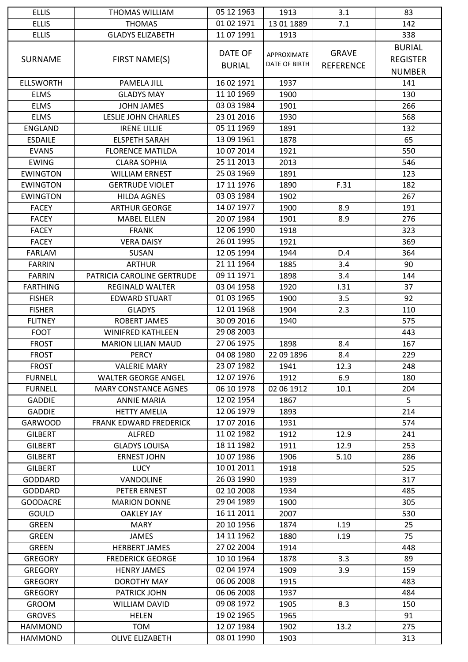| <b>ELLIS</b>     | THOMAS WILLIAM                | 05 12 1963    | 1913          | 3.1              | 83              |
|------------------|-------------------------------|---------------|---------------|------------------|-----------------|
| <b>ELLIS</b>     | <b>THOMAS</b>                 | 01 02 1971    | 13 01 1889    | 7.1              | 142             |
| <b>ELLIS</b>     | <b>GLADYS ELIZABETH</b>       | 11 07 1991    | 1913          |                  | 338             |
|                  |                               |               |               |                  | <b>BURIAL</b>   |
| <b>SURNAME</b>   | FIRST NAME(S)                 | DATE OF       | APPROXIMATE   | <b>GRAVE</b>     | <b>REGISTER</b> |
|                  |                               | <b>BURIAL</b> | DATE OF BIRTH | <b>REFERENCE</b> |                 |
|                  |                               |               |               |                  | <b>NUMBER</b>   |
| <b>ELLSWORTH</b> | PAMELA JILL                   | 16 02 1971    | 1937          |                  | 141             |
| <b>ELMS</b>      | <b>GLADYS MAY</b>             | 11 10 1969    | 1900          |                  | 130             |
| <b>ELMS</b>      | <b>JOHN JAMES</b>             | 03 03 1984    | 1901          |                  | 266             |
| <b>ELMS</b>      | LESLIE JOHN CHARLES           | 23 01 2016    | 1930          |                  | 568             |
| <b>ENGLAND</b>   | <b>IRENE LILLIE</b>           | 05 11 1969    | 1891          |                  | 132             |
| <b>ESDAILE</b>   | <b>ELSPETH SARAH</b>          | 13 09 1961    | 1878          |                  | 65              |
| <b>EVANS</b>     | <b>FLORENCE MATILDA</b>       | 10 07 2014    | 1921          |                  | 550             |
| <b>EWING</b>     | <b>CLARA SOPHIA</b>           | 25 11 2013    | 2013          |                  | 546             |
| <b>EWINGTON</b>  | <b>WILLIAM ERNEST</b>         | 25 03 1969    | 1891          |                  | 123             |
| <b>EWINGTON</b>  | <b>GERTRUDE VIOLET</b>        | 17 11 1976    | 1890          | F.31             | 182             |
| <b>EWINGTON</b>  | <b>HILDA AGNES</b>            | 03 03 1984    | 1902          |                  | 267             |
| <b>FACEY</b>     | <b>ARTHUR GEORGE</b>          | 14 07 1977    | 1900          | 8.9              | 191             |
| <b>FACEY</b>     | <b>MABEL ELLEN</b>            | 20 07 1984    | 1901          | 8.9              | 276             |
| <b>FACEY</b>     | <b>FRANK</b>                  | 12 06 1990    | 1918          |                  | 323             |
| <b>FACEY</b>     | <b>VERA DAISY</b>             | 26 01 1995    | 1921          |                  | 369             |
| <b>FARLAM</b>    | SUSAN                         | 12 05 1994    | 1944          | D.4              | 364             |
| <b>FARRIN</b>    | <b>ARTHUR</b>                 | 21 11 1964    | 1885          | 3.4              | 90              |
| <b>FARRIN</b>    | PATRICIA CAROLINE GERTRUDE    | 09 11 1971    | 1898          | 3.4              | 144             |
| <b>FARTHING</b>  | <b>REGINALD WALTER</b>        | 03 04 1958    | 1920          | 1.31             | 37              |
| <b>FISHER</b>    | <b>EDWARD STUART</b>          | 01 03 1965    | 1900          | 3.5              | 92              |
| <b>FISHER</b>    | <b>GLADYS</b>                 | 12 01 1968    | 1904          | 2.3              | 110             |
| <b>FLITNEY</b>   | ROBERT JAMES                  | 30 09 2016    | 1940          |                  | 575             |
| <b>FOOT</b>      | <b>WINIFRED KATHLEEN</b>      | 29 08 2003    |               |                  | 443             |
| <b>FROST</b>     | <b>MARION LILIAN MAUD</b>     | 27 06 1975    | 1898          | 8.4              | 167             |
| <b>FROST</b>     | <b>PERCY</b>                  | 04 08 1980    | 22 09 1896    | 8.4              | 229             |
| <b>FROST</b>     | <b>VALERIE MARY</b>           | 23 07 1982    | 1941          | 12.3             | 248             |
| <b>FURNELL</b>   | <b>WALTER GEORGE ANGEL</b>    | 12 07 1976    | 1912          | 6.9              | 180             |
| <b>FURNELL</b>   | <b>MARY CONSTANCE AGNES</b>   | 06 10 1978    | 02 06 1912    | 10.1             | 204             |
| GADDIE           | <b>ANNIE MARIA</b>            | 12 02 1954    | 1867          |                  | 5               |
| <b>GADDIE</b>    | <b>HETTY AMELIA</b>           | 12 06 1979    | 1893          |                  | 214             |
| <b>GARWOOD</b>   | <b>FRANK EDWARD FREDERICK</b> | 17 07 2016    | 1931          |                  | 574             |
|                  |                               | 11 02 1982    |               |                  |                 |
| <b>GILBERT</b>   | <b>ALFRED</b>                 | 18 11 1982    | 1912          | 12.9<br>12.9     | 241<br>253      |
| <b>GILBERT</b>   | <b>GLADYS LOUISA</b>          | 10 07 1986    | 1911          |                  |                 |
| <b>GILBERT</b>   | <b>ERNEST JOHN</b>            |               | 1906          | 5.10             | 286             |
| <b>GILBERT</b>   | <b>LUCY</b>                   | 10 01 2011    | 1918          |                  | 525             |
| <b>GODDARD</b>   | VANDOLINE                     | 26 03 1990    | 1939          |                  | 317             |
| GODDARD          | PETER ERNEST                  | 02 10 2008    | 1934          |                  | 485             |
| <b>GOODACRE</b>  | <b>MARION DONNE</b>           | 29 04 1989    | 1900          |                  | 305             |
| <b>GOULD</b>     | <b>OAKLEY JAY</b>             | 16 11 2011    | 2007          |                  | 530             |
| <b>GREEN</b>     | <b>MARY</b>                   | 20 10 1956    | 1874          | 1.19             | 25              |
| <b>GREEN</b>     | <b>JAMES</b>                  | 14 11 1962    | 1880          | 1.19             | 75              |
| <b>GREEN</b>     | <b>HERBERT JAMES</b>          | 27 02 2004    | 1914          |                  | 448             |
| <b>GREGORY</b>   | <b>FREDERICK GEORGE</b>       | 10 10 1964    | 1878          | 3.3              | 89              |
| <b>GREGORY</b>   | <b>HENRY JAMES</b>            | 02 04 1974    | 1909          | 3.9              | 159             |
| <b>GREGORY</b>   | DOROTHY MAY                   | 06 06 2008    | 1915          |                  | 483             |
| <b>GREGORY</b>   | <b>PATRICK JOHN</b>           | 06 06 2008    | 1937          |                  | 484             |
| GROOM            | <b>WILLIAM DAVID</b>          | 09 08 1972    | 1905          | 8.3              | 150             |
| <b>GROVES</b>    | <b>HELEN</b>                  | 19 02 1965    | 1965          |                  | 91              |
| <b>HAMMOND</b>   | TOM                           | 12 07 1984    | 1902          | 13.2             | 275             |
| <b>HAMMOND</b>   | <b>OLIVE ELIZABETH</b>        | 08 01 1990    | 1903          |                  | 313             |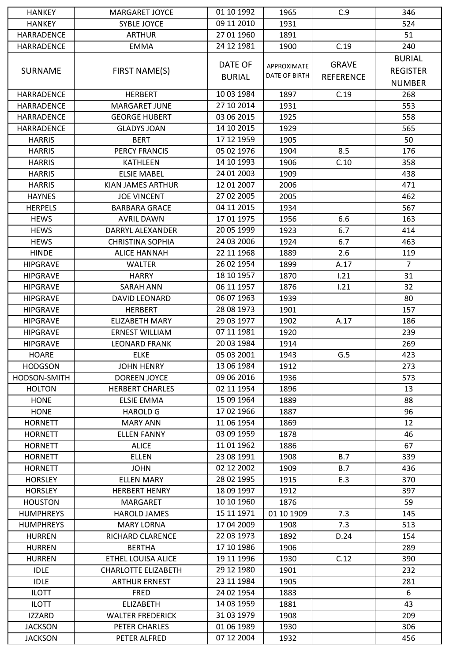| <b>HANKEY</b>     | <b>MARGARET JOYCE</b>      | 01 10 1992               | 1965          | C.9              | 346             |
|-------------------|----------------------------|--------------------------|---------------|------------------|-----------------|
| <b>HANKEY</b>     | <b>SYBLE JOYCE</b>         | 09 11 2010               | 1931          |                  | 524             |
| <b>HARRADENCE</b> | <b>ARTHUR</b>              | 27 01 1960               | 1891          |                  | 51              |
| HARRADENCE        | <b>EMMA</b>                | 24 12 1981               | 1900          | C.19             | 240             |
|                   |                            |                          |               |                  | <b>BURIAL</b>   |
| <b>SURNAME</b>    | FIRST NAME(S)              | DATE OF                  | APPROXIMATE   | <b>GRAVE</b>     | <b>REGISTER</b> |
|                   |                            | <b>BURIAL</b>            | DATE OF BIRTH | <b>REFERENCE</b> | <b>NUMBER</b>   |
|                   |                            |                          |               |                  |                 |
| HARRADENCE        | <b>HERBERT</b>             | 10 03 1984               | 1897          | C.19             | 268             |
| HARRADENCE        | <b>MARGARET JUNE</b>       | 27 10 2014               | 1931          |                  | 553             |
| HARRADENCE        | <b>GEORGE HUBERT</b>       | 03 06 2015               | 1925          |                  | 558             |
| HARRADENCE        | <b>GLADYS JOAN</b>         | 14 10 2015               | 1929          |                  | 565             |
| <b>HARRIS</b>     | <b>BERT</b>                | 17 12 1959               | 1905          |                  | 50              |
| <b>HARRIS</b>     | <b>PERCY FRANCIS</b>       | 05 02 1976               | 1904          | 8.5              | 176             |
| <b>HARRIS</b>     | <b>KATHLEEN</b>            | 14 10 1993               | 1906          | C.10             | 358             |
| <b>HARRIS</b>     | <b>ELSIE MABEL</b>         | 24 01 2003               | 1909          |                  | 438             |
| <b>HARRIS</b>     | KIAN JAMES ARTHUR          | 12 01 2007               | 2006          |                  | 471             |
| <b>HAYNES</b>     | <b>JOE VINCENT</b>         | 27 02 2005               | 2005          |                  | 462             |
| <b>HERPELS</b>    | <b>BARBARA GRACE</b>       | 04 11 2015               | 1934          |                  | 567             |
| <b>HEWS</b>       | <b>AVRIL DAWN</b>          | 17 01 1975               | 1956          | 6.6              | 163             |
| <b>HEWS</b>       | DARRYL ALEXANDER           | 20 05 1999               | 1923          | 6.7              | 414             |
| <b>HEWS</b>       | <b>CHRISTINA SOPHIA</b>    | 24 03 2006               | 1924          | 6.7              | 463             |
| <b>HINDE</b>      | <b>ALICE HANNAH</b>        | 22 11 1968               | 1889          | 2.6              | 119             |
| <b>HIPGRAVE</b>   | <b>WALTER</b>              | 26 02 1954               | 1899          | A.17             | $\overline{7}$  |
| <b>HIPGRAVE</b>   | <b>HARRY</b>               | 18 10 1957               | 1870          | 1.21             | 31              |
| <b>HIPGRAVE</b>   | <b>SARAH ANN</b>           | 06 11 1957               | 1876          | 1.21             | 32              |
| <b>HIPGRAVE</b>   | DAVID LEONARD              | 06 07 1963               | 1939          |                  | 80              |
| <b>HIPGRAVE</b>   | <b>HERBERT</b>             | 28 08 1973               | 1901          |                  | 157             |
| <b>HIPGRAVE</b>   | <b>ELIZABETH MARY</b>      | 29 03 1977               | 1902          | A.17             | 186             |
| <b>HIPGRAVE</b>   | <b>ERNEST WILLIAM</b>      | 07 11 1981               | 1920          |                  | 239             |
| <b>HIPGRAVE</b>   | <b>LEONARD FRANK</b>       | 20 03 1984               | 1914          |                  | 269             |
| <b>HOARE</b>      | <b>ELKE</b>                | 05 03 2001               | 1943          | G.5              | 423             |
| <b>HODGSON</b>    | <b>JOHN HENRY</b>          | 13 06 1984               | 1912          |                  | 273             |
| HODSON-SMITH      | <b>DOREEN JOYCE</b>        | 09 06 2016               | 1936          |                  | 573             |
| <b>HOLTON</b>     | <b>HERBERT CHARLES</b>     | 02 11 1954               | 1896          |                  | 13              |
| <b>HONE</b>       | <b>ELSIE EMMA</b>          | 15 09 1964               | 1889          |                  | 88              |
| <b>HONE</b>       | <b>HAROLD G</b>            | 17 02 1966               | 1887          |                  | 96              |
| <b>HORNETT</b>    | <b>MARY ANN</b>            | 11 06 1954               | 1869          |                  | 12              |
| <b>HORNETT</b>    | <b>ELLEN FANNY</b>         | 03 09 1959               | 1878          |                  | 46              |
| <b>HORNETT</b>    | <b>ALICE</b>               | 11 01 1962               | 1886          |                  | 67              |
| <b>HORNETT</b>    | <b>ELLEN</b>               | 23 08 1991               | 1908          | B.7              | 339             |
| <b>HORNETT</b>    | <b>JOHN</b>                | 02 12 2002               | 1909          | B.7              | 436             |
| <b>HORSLEY</b>    | <b>ELLEN MARY</b>          | 28 02 1995               | 1915          | E.3              | 370             |
| <b>HORSLEY</b>    | <b>HERBERT HENRY</b>       | 18 09 1997               | 1912          |                  | 397             |
| <b>HOUSTON</b>    | MARGARET                   | 10 10 1960               | 1876          |                  | 59              |
| <b>HUMPHREYS</b>  | <b>HAROLD JAMES</b>        | 15 11 1971               | 01 10 1909    | 7.3              | 145             |
| <b>HUMPHREYS</b>  | <b>MARY LORNA</b>          | 17 04 2009               | 1908          | 7.3              | 513             |
|                   |                            | 22 03 1973               |               |                  |                 |
| <b>HURREN</b>     | RICHARD CLARENCE           |                          | 1892          | D.24             | 154             |
| <b>HURREN</b>     | <b>BERTHA</b>              | 17 10 1986<br>19 11 1996 | 1906          |                  | 289             |
| <b>HURREN</b>     | ETHEL LOUISA ALICE         |                          | 1930          | C.12             | 390             |
| <b>IDLE</b>       | <b>CHARLOTTE ELIZABETH</b> | 29 12 1980               | 1901          |                  | 232             |
| <b>IDLE</b>       | <b>ARTHUR ERNEST</b>       | 23 11 1984               | 1905          |                  | 281             |
| <b>ILOTT</b>      | <b>FRED</b>                | 24 02 1954               | 1883          |                  | 6               |
| <b>ILOTT</b>      | <b>ELIZABETH</b>           | 14 03 1959               | 1881          |                  | 43              |
| <b>IZZARD</b>     | <b>WALTER FREDERICK</b>    | 31 03 1979               | 1908          |                  | 209             |
| <b>JACKSON</b>    | PETER CHARLES              | 01 06 1989               | 1930          |                  | 306             |
| <b>JACKSON</b>    | PETER ALFRED               | 07 12 2004               | 1932          |                  | 456             |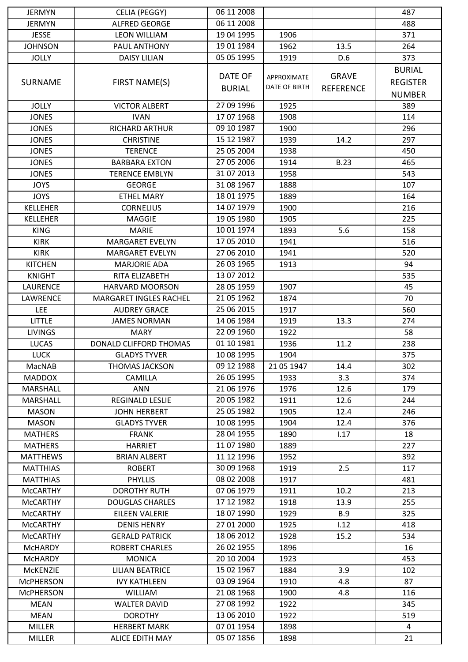| <b>JERMYN</b>    | CELIA (PEGGY)                 | 06 11 2008    |                      |                  | 487             |
|------------------|-------------------------------|---------------|----------------------|------------------|-----------------|
| <b>JERMYN</b>    | <b>ALFRED GEORGE</b>          | 06 11 2008    |                      |                  | 488             |
| <b>JESSE</b>     | <b>LEON WILLIAM</b>           | 19 04 1995    | 1906                 |                  | 371             |
| <b>JOHNSON</b>   | PAUL ANTHONY                  | 19 01 1984    | 1962                 | 13.5             | 264             |
| <b>JOLLY</b>     | <b>DAISY LILIAN</b>           | 05 05 1995    | 1919                 | D.6              | 373             |
|                  |                               |               |                      |                  | <b>BURIAL</b>   |
| <b>SURNAME</b>   | FIRST NAME(S)                 | DATE OF       | APPROXIMATE          | <b>GRAVE</b>     | <b>REGISTER</b> |
|                  |                               | <b>BURIAL</b> | <b>DATE OF BIRTH</b> | <b>REFERENCE</b> | <b>NUMBER</b>   |
| <b>JOLLY</b>     | <b>VICTOR ALBERT</b>          | 27 09 1996    | 1925                 |                  | 389             |
| <b>JONES</b>     | <b>IVAN</b>                   | 17 07 1968    | 1908                 |                  | 114             |
|                  | <b>RICHARD ARTHUR</b>         |               |                      |                  |                 |
| <b>JONES</b>     |                               | 09 10 1987    | 1900                 |                  | 296             |
| <b>JONES</b>     | <b>CHRISTINE</b>              | 15 12 1987    | 1939                 | 14.2             | 297             |
| <b>JONES</b>     | <b>TERENCE</b>                | 25 05 2004    | 1938                 |                  | 450             |
| <b>JONES</b>     | <b>BARBARA EXTON</b>          | 27 05 2006    | 1914                 | <b>B.23</b>      | 465             |
| <b>JONES</b>     | <b>TERENCE EMBLYN</b>         | 31 07 2013    | 1958                 |                  | 543             |
| <b>JOYS</b>      | <b>GEORGE</b>                 | 31 08 1967    | 1888                 |                  | 107             |
| <b>JOYS</b>      | <b>ETHEL MARY</b>             | 18 01 1975    | 1889                 |                  | 164             |
| <b>KELLEHER</b>  | <b>CORNELIUS</b>              | 14 07 1979    | 1900                 |                  | 216             |
| <b>KELLEHER</b>  | <b>MAGGIE</b>                 | 19 05 1980    | 1905                 |                  | 225             |
| <b>KING</b>      | <b>MARIE</b>                  | 10 01 1974    | 1893                 | 5.6              | 158             |
| <b>KIRK</b>      | <b>MARGARET EVELYN</b>        | 17 05 2010    | 1941                 |                  | 516             |
| <b>KIRK</b>      | <b>MARGARET EVELYN</b>        | 27 06 2010    | 1941                 |                  | 520             |
| <b>KITCHEN</b>   | <b>MARJORIE ADA</b>           | 26 03 1965    | 1913                 |                  | 94              |
| <b>KNIGHT</b>    | RITA ELIZABETH                | 13 07 2012    |                      |                  | 535             |
| LAURENCE         | <b>HARVARD MOORSON</b>        | 28 05 1959    | 1907                 |                  | 45              |
| LAWRENCE         | <b>MARGARET INGLES RACHEL</b> | 21 05 1962    | 1874                 |                  | 70              |
| <b>LEE</b>       | <b>AUDREY GRACE</b>           | 25 06 2015    | 1917                 |                  | 560             |
| <b>LITTLE</b>    | <b>JAMES NORMAN</b>           | 14 06 1984    | 1919                 | 13.3             | 274             |
| <b>LIVINGS</b>   | <b>MARY</b>                   | 22 09 1960    | 1922                 |                  | 58              |
| <b>LUCAS</b>     | DONALD CLIFFORD THOMAS        | 01 10 1981    | 1936                 | 11.2             | 238             |
| <b>LUCK</b>      | <b>GLADYS TYVER</b>           | 10 08 1995    | 1904                 |                  | 375             |
| MacNAB           | <b>THOMAS JACKSON</b>         | 09 12 1988    | 21 05 1947           | 14.4             | 302             |
| <b>MADDOX</b>    | CAMILLA                       | 26 05 1995    | 1933                 | 3.3              | 374             |
| MARSHALL         | ANN                           | 21 06 1976    | 1976                 | 12.6             | 179             |
| MARSHALL         | REGINALD LESLIE               | 20 05 1982    | 1911                 | 12.6             | 244             |
| <b>MASON</b>     | <b>JOHN HERBERT</b>           | 25 05 1982    | 1905                 | 12.4             | 246             |
| <b>MASON</b>     | <b>GLADYS TYVER</b>           | 10 08 1995    | 1904                 | 12.4             | 376             |
| <b>MATHERS</b>   | <b>FRANK</b>                  | 28 04 1955    | 1890                 | 1.17             | 18              |
| <b>MATHERS</b>   | <b>HARRIET</b>                | 11 07 1980    | 1889                 |                  | 227             |
| <b>MATTHEWS</b>  | <b>BRIAN ALBERT</b>           | 11 12 1996    | 1952                 |                  | 392             |
| <b>MATTHIAS</b>  | <b>ROBERT</b>                 | 30 09 1968    | 1919                 | 2.5              | 117             |
| <b>MATTHIAS</b>  | <b>PHYLLIS</b>                | 08 02 2008    | 1917                 |                  | 481             |
| <b>McCARTHY</b>  | <b>DOROTHY RUTH</b>           | 07 06 1979    | 1911                 | 10.2             | 213             |
| <b>McCARTHY</b>  | <b>DOUGLAS CHARLES</b>        | 17 12 1982    | 1918                 | 13.9             | 255             |
| <b>MCCARTHY</b>  | EILEEN VALERIE                | 18 07 1990    | 1929                 | <b>B.9</b>       | 325             |
| <b>McCARTHY</b>  | <b>DENIS HENRY</b>            | 27 01 2000    | 1925                 | 1.12             | 418             |
| <b>MCCARTHY</b>  | <b>GERALD PATRICK</b>         | 18 06 2012    | 1928                 | 15.2             | 534             |
| McHARDY          | <b>ROBERT CHARLES</b>         | 26 02 1955    | 1896                 |                  | 16              |
| <b>McHARDY</b>   | <b>MONICA</b>                 | 20 10 2004    | 1923                 |                  | 453             |
| <b>MCKENZIE</b>  | LILIAN BEATRICE               | 15 02 1967    | 1884                 | 3.9              | 102             |
| <b>McPHERSON</b> | <b>IVY KATHLEEN</b>           | 03 09 1964    | 1910                 | 4.8              | 87              |
| <b>MCPHERSON</b> | <b>WILLIAM</b>                | 21 08 1968    | 1900                 | 4.8              | 116             |
| <b>MEAN</b>      | <b>WALTER DAVID</b>           | 27 08 1992    | 1922                 |                  | 345             |
| <b>MEAN</b>      | <b>DOROTHY</b>                | 13 06 2010    | 1922                 |                  | 519             |
| <b>MILLER</b>    | <b>HERBERT MARK</b>           | 07 01 1954    | 1898                 |                  | $\overline{4}$  |
| <b>MILLER</b>    | ALICE EDITH MAY               | 05 07 1856    | 1898                 |                  | 21              |
|                  |                               |               |                      |                  |                 |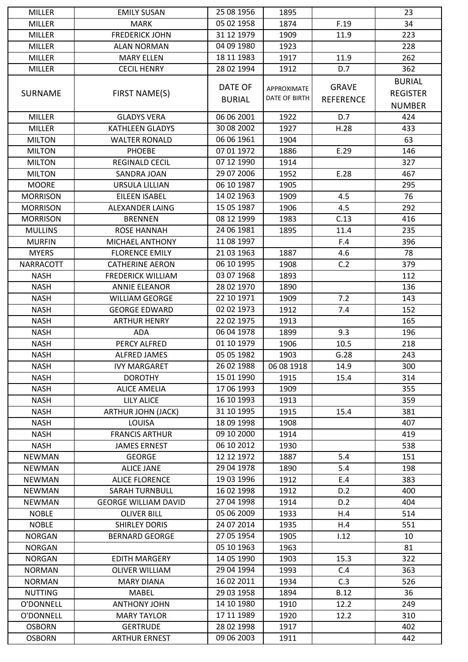| <b>MILLER</b>   | <b>EMILY SUSAN</b>          | 25 08 1956    | 1895          |                  | 23              |
|-----------------|-----------------------------|---------------|---------------|------------------|-----------------|
| <b>MILLER</b>   | <b>MARK</b>                 | 05 02 1958    | 1874          | F.19             | 34              |
| <b>MILLER</b>   | <b>FREDERICK JOHN</b>       | 31 12 1979    | 1909          | 11.9             | 223             |
| <b>MILLER</b>   | <b>ALAN NORMAN</b>          | 04 09 1980    | 1923          |                  | 228             |
| <b>MILLER</b>   | <b>MARY ELLEN</b>           | 18 11 1983    | 1917          | 11.9             | 262             |
| <b>MILLER</b>   | <b>CECIL HENRY</b>          | 28 02 1994    | 1912          | D.7              | 362             |
|                 |                             |               |               |                  | <b>BURIAL</b>   |
| <b>SURNAME</b>  | FIRST NAME(S)               | DATE OF       | APPROXIMATE   | <b>GRAVE</b>     | <b>REGISTER</b> |
|                 |                             | <b>BURIAL</b> | DATE OF BIRTH | <b>REFERENCE</b> | <b>NUMBER</b>   |
| <b>MILLER</b>   | <b>GLADYS VERA</b>          | 06 06 2001    | 1922          | D.7              | 424             |
|                 |                             | 30 08 2002    |               |                  |                 |
| <b>MILLER</b>   | <b>KATHLEEN GLADYS</b>      |               | 1927          | H.28             | 433             |
| <b>MILTON</b>   | <b>WALTER RONALD</b>        | 06 06 1961    | 1904          |                  | 63              |
| <b>MILTON</b>   | <b>PHOEBE</b>               | 07 01 1972    | 1886          | E.29             | 146             |
| <b>MILTON</b>   | <b>REGINALD CECIL</b>       | 07 12 1990    | 1914          |                  | 327             |
| <b>MILTON</b>   | SANDRA JOAN                 | 29 07 2006    | 1952          | E.28             | 467             |
| <b>MOORE</b>    | URSULA LILLIAN              | 06 10 1987    | 1905          |                  | 295             |
| <b>MORRISON</b> | EILEEN ISABEL               | 14 02 1963    | 1909          | 4.5              | 76              |
| <b>MORRISON</b> | <b>ALEXANDER LAING</b>      | 15 05 1987    | 1906          | 4.5              | 292             |
| <b>MORRISON</b> | <b>BRENNEN</b>              | 08 12 1999    | 1983          | C.13             | 416             |
| <b>MULLINS</b>  | ROSE HANNAH                 | 24 06 1981    | 1895          | 11.4             | 235             |
| <b>MURFIN</b>   | MICHAEL ANTHONY             | 11 08 1997    |               | F.4              | 396             |
| <b>MYERS</b>    | <b>FLORENCE EMILY</b>       | 21 03 1963    | 1887          | 4.6              | 78              |
| NARRACOTT       | <b>CATHERINE AERON</b>      | 06 10 1995    | 1908          | C.2              | 379             |
| <b>NASH</b>     | <b>FREDERICK WILLIAM</b>    | 03 07 1968    | 1893          |                  | 112             |
| <b>NASH</b>     | <b>ANNIE ELEANOR</b>        | 28 02 1970    | 1890          |                  | 136             |
| <b>NASH</b>     | <b>WILLIAM GEORGE</b>       | 22 10 1971    | 1909          | 7.2              | 143             |
| <b>NASH</b>     | <b>GEORGE EDWARD</b>        | 02 02 1973    | 1912          | 7.4              | 152             |
| <b>NASH</b>     | <b>ARTHUR HENRY</b>         | 22 02 1975    | 1913          |                  | 165             |
| <b>NASH</b>     | <b>ADA</b>                  | 06 04 1978    | 1899          | 9.3              | 196             |
| <b>NASH</b>     | PERCY ALFRED                | 01 10 1979    | 1906          | 10.5             | 218             |
| <b>NASH</b>     | <b>ALFRED JAMES</b>         | 05 05 1982    | 1903          | G.28             | 243             |
| <b>NASH</b>     | <b>IVY MARGARET</b>         | 26 02 1988    | 06 08 1918    | 14.9             | 300             |
| <b>NASH</b>     | <b>DOROTHY</b>              | 15 01 1990    | 1915          | 15.4             | 314             |
| <b>NASH</b>     | <b>ALICE AMELIA</b>         | 17 06 1993    | 1909          |                  | 355             |
| <b>NASH</b>     | <b>LILY ALICE</b>           | 16 10 1993    | 1913          |                  | 359             |
| <b>NASH</b>     | ARTHUR JOHN (JACK)          | 31 10 1995    | 1915          | 15.4             | 381             |
| <b>NASH</b>     | LOUISA                      | 18 09 1998    | 1908          |                  | 407             |
| <b>NASH</b>     | <b>FRANCIS ARTHUR</b>       | 09 10 2000    | 1914          |                  | 419             |
| <b>NASH</b>     | <b>JAMES ERNEST</b>         | 06 10 2012    | 1930          |                  | 538             |
| <b>NEWMAN</b>   | <b>GEORGE</b>               | 12 12 1972    | 1887          | 5.4              | 151             |
| <b>NEWMAN</b>   | <b>ALICE JANE</b>           | 29 04 1978    | 1890          | 5.4              | 198             |
| <b>NEWMAN</b>   | <b>ALICE FLORENCE</b>       | 19 03 1996    | 1912          | E.4              | 383             |
| <b>NEWMAN</b>   | <b>SARAH TURNBULL</b>       | 16 02 1998    | 1912          | D.2              | 400             |
| <b>NEWMAN</b>   | <b>GEORGE WILLIAM DAVID</b> | 27 04 1998    | 1914          | D.2              | 404             |
| <b>NOBLE</b>    | <b>OLIVER BILL</b>          | 05 06 2009    | 1933          | H.4              | 514             |
| <b>NOBLE</b>    | <b>SHIRLEY DORIS</b>        | 24 07 2014    | 1935          | H.4              | 551             |
| <b>NORGAN</b>   | <b>BERNARD GEORGE</b>       | 27 05 1954    | 1905          | 1.12             | 10              |
| <b>NORGAN</b>   |                             | 05 10 1963    | 1963          |                  | 81              |
| <b>NORGAN</b>   | <b>EDITH MARGERY</b>        | 14 05 1990    | 1903          | 15.3             | 322             |
| <b>NORMAN</b>   | <b>OLIVER WILLIAM</b>       | 29 04 1994    | 1993          | C.4              | 363             |
| <b>NORMAN</b>   | <b>MARY DIANA</b>           | 16 02 2011    | 1934          | C.3              | 526             |
| <b>NUTTING</b>  | MABEL                       | 29 03 1958    | 1894          | <b>B.12</b>      | 36              |
| O'DONNELL       | <b>ANTHONY JOHN</b>         | 14 10 1980    | 1910          | 12.2             | 249             |
| O'DONNELL       | <b>MARY TAYLOR</b>          | 17 11 1989    | 1920          | 12.2             | 310             |
| <b>OSBORN</b>   | <b>GERTRUDE</b>             | 28 02 1998    | 1917          |                  | 402             |
| <b>OSBORN</b>   | <b>ARTHUR ERNEST</b>        | 09 06 2003    | 1911          |                  | 442             |
|                 |                             |               |               |                  |                 |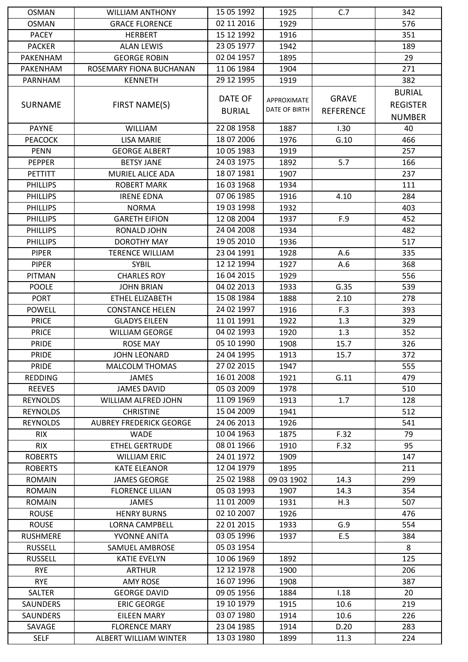| <b>OSMAN</b>                  | <b>WILLIAM ANTHONY</b>             | 15 05 1992     | 1925          | C.7              | 342             |
|-------------------------------|------------------------------------|----------------|---------------|------------------|-----------------|
| <b>OSMAN</b>                  | <b>GRACE FLORENCE</b>              | 02 11 2016     | 1929          |                  | 576             |
| <b>PACEY</b>                  | <b>HERBERT</b>                     | 15 12 1992     | 1916          |                  | 351             |
| <b>PACKER</b>                 | <b>ALAN LEWIS</b>                  | 23 05 1977     | 1942          |                  | 189             |
| <b>PAKENHAM</b>               | <b>GEORGE ROBIN</b>                | 02 04 1957     | 1895          |                  | 29              |
| PAKENHAM                      | ROSEMARY FIONA BUCHANAN            | 11 06 1984     | 1904          |                  | 271             |
| PARNHAM                       | <b>KENNETH</b>                     | 29 12 1995     | 1919          |                  | 382             |
|                               |                                    |                |               |                  | <b>BURIAL</b>   |
| <b>SURNAME</b>                | FIRST NAME(S)                      | <b>DATE OF</b> | APPROXIMATE   | <b>GRAVE</b>     | <b>REGISTER</b> |
|                               |                                    | <b>BURIAL</b>  | DATE OF BIRTH | <b>REFERENCE</b> | <b>NUMBER</b>   |
| <b>PAYNE</b>                  | <b>WILLIAM</b>                     | 22 08 1958     | 1887          | 1.30             | 40              |
|                               |                                    | 18 07 2006     |               |                  |                 |
| <b>PEACOCK</b><br><b>PENN</b> | LISA MARIE<br><b>GEORGE ALBERT</b> | 10 05 1983     | 1976<br>1919  | G.10             | 466<br>257      |
|                               |                                    |                |               |                  |                 |
| <b>PEPPER</b>                 | <b>BETSY JANE</b>                  | 24 03 1975     | 1892          | 5.7              | 166             |
| <b>PETTITT</b>                | MURIEL ALICE ADA                   | 18 07 1981     | 1907          |                  | 237             |
| <b>PHILLIPS</b>               | <b>ROBERT MARK</b>                 | 16 03 1968     | 1934          |                  | 111             |
| <b>PHILLIPS</b>               | <b>IRENE EDNA</b>                  | 07 06 1985     | 1916          | 4.10             | 284             |
| <b>PHILLIPS</b>               | <b>NORMA</b>                       | 19 03 1998     | 1932          |                  | 403             |
| <b>PHILLIPS</b>               | <b>GARETH EIFION</b>               | 12 08 2004     | 1937          | F.9              | 452             |
| <b>PHILLIPS</b>               | RONALD JOHN                        | 24 04 2008     | 1934          |                  | 482             |
| <b>PHILLIPS</b>               | <b>DOROTHY MAY</b>                 | 19 05 2010     | 1936          |                  | 517             |
| <b>PIPER</b>                  | <b>TERENCE WILLIAM</b>             | 23 04 1991     | 1928          | A.6              | 335             |
| <b>PIPER</b>                  | <b>SYBIL</b>                       | 12 12 1994     | 1927          | A.6              | 368             |
| <b>PITMAN</b>                 | <b>CHARLES ROY</b>                 | 16 04 2015     | 1929          |                  | 556             |
| <b>POOLE</b>                  | <b>JOHN BRIAN</b>                  | 04 02 2013     | 1933          | G.35             | 539             |
| <b>PORT</b>                   | ETHEL ELIZABETH                    | 15 08 1984     | 1888          | 2.10             | 278             |
| <b>POWELL</b>                 | <b>CONSTANCE HELEN</b>             | 24 02 1997     | 1916          | F.3              | 393             |
| <b>PRICE</b>                  | <b>GLADYS EILEEN</b>               | 11 01 1991     | 1922          | 1.3              | 329             |
| <b>PRICE</b>                  | <b>WILLIAM GEORGE</b>              | 04 02 1993     | 1920          | 1.3              | 352             |
| <b>PRIDE</b>                  | <b>ROSE MAY</b>                    | 05 10 1990     | 1908          | 15.7             | 326             |
| <b>PRIDE</b>                  | <b>JOHN LEONARD</b>                | 24 04 1995     | 1913          | 15.7             | 372             |
| <b>PRIDE</b>                  | <b>MALCOLM THOMAS</b>              | 27 02 2015     | 1947          |                  | 555             |
| <b>REDDING</b>                | <b>JAMES</b>                       | 16 01 2008     | 1921          | G.11             | 479             |
| <b>REEVES</b>                 | <b>JAMES DAVID</b>                 | 05 03 2009     | 1978          |                  | 510             |
| <b>REYNOLDS</b>               | WILLIAM ALFRED JOHN                | 11 09 1969     | 1913          | 1.7              | 128             |
| <b>REYNOLDS</b>               | <b>CHRISTINE</b>                   | 15 04 2009     | 1941          |                  | 512             |
| <b>REYNOLDS</b>               | <b>AUBREY FREDERICK GEORGE</b>     | 24 06 2013     | 1926          |                  | 541             |
| <b>RIX</b>                    | <b>WADE</b>                        | 10 04 1963     | 1875          | F.32             | 79              |
| <b>RIX</b>                    | <b>ETHEL GERTRUDE</b>              | 08 01 1966     | 1910          | F.32             | 95              |
| <b>ROBERTS</b>                | <b>WILLIAM ERIC</b>                | 24 01 1972     | 1909          |                  | 147             |
| <b>ROBERTS</b>                | <b>KATE ELEANOR</b>                | 12 04 1979     | 1895          |                  | 211             |
| <b>ROMAIN</b>                 | <b>JAMES GEORGE</b>                | 25 02 1988     | 09 03 1902    | 14.3             | 299             |
| <b>ROMAIN</b>                 | <b>FLORENCE LILIAN</b>             | 05 03 1993     | 1907          | 14.3             | 354             |
| <b>ROMAIN</b>                 | <b>JAMES</b>                       | 11 01 2009     | 1931          | H.3              | 507             |
| <b>ROUSE</b>                  | <b>HENRY BURNS</b>                 | 02 10 2007     | 1926          |                  | 476             |
| <b>ROUSE</b>                  | LORNA CAMPBELL                     | 22 01 2015     | 1933          | G.9              | 554             |
| <b>RUSHMERE</b>               | YVONNE ANITA                       | 03 05 1996     | 1937          | E.5              | 384             |
| <b>RUSSELL</b>                | SAMUEL AMBROSE                     | 05 03 1954     |               |                  | 8               |
| <b>RUSSELL</b>                | <b>KATIE EVELYN</b>                | 10 06 1969     | 1892          |                  | 125             |
| <b>RYE</b>                    | <b>ARTHUR</b>                      | 12 12 1978     | 1900          |                  | 206             |
| <b>RYE</b>                    | <b>AMY ROSE</b>                    | 16 07 1996     | 1908          |                  | 387             |
| <b>SALTER</b>                 | <b>GEORGE DAVID</b>                | 09 05 1956     | 1884          | 1.18             | 20              |
| SAUNDERS                      | <b>ERIC GEORGE</b>                 | 19 10 1979     | 1915          | 10.6             | 219             |
| <b>SAUNDERS</b>               | <b>EILEEN MARY</b>                 | 03 07 1980     | 1914          | 10.6             | 226             |
| SAVAGE                        | <b>FLORENCE MARY</b>               | 23 04 1985     | 1914          | D.20             | 283             |
| <b>SELF</b>                   | ALBERT WILLIAM WINTER              | 13 03 1980     | 1899          | 11.3             | 224             |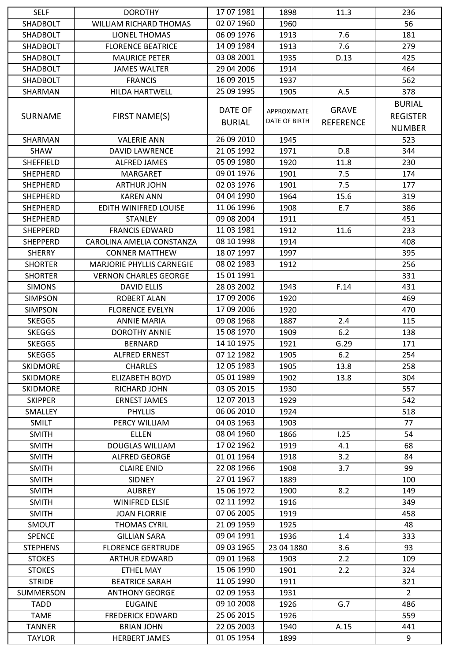| <b>SELF</b>     | <b>DOROTHY</b>                   | 17 07 1981    | 1898                 | 11.3             | 236             |
|-----------------|----------------------------------|---------------|----------------------|------------------|-----------------|
| SHADBOLT        | <b>WILLIAM RICHARD THOMAS</b>    | 02 07 1960    | 1960                 |                  | 56              |
| SHADBOLT        | <b>LIONEL THOMAS</b>             | 06 09 1976    | 1913                 | 7.6              | 181             |
| <b>SHADBOLT</b> | <b>FLORENCE BEATRICE</b>         | 14 09 1984    | 1913                 | 7.6              | 279             |
| SHADBOLT        | <b>MAURICE PETER</b>             | 03 08 2001    | 1935                 | D.13             | 425             |
| SHADBOLT        | <b>JAMES WALTER</b>              | 29 04 2006    | 1914                 |                  | 464             |
| SHADBOLT        | <b>FRANCIS</b>                   | 16 09 2015    | 1937                 |                  | 562             |
| SHARMAN         | <b>HILDA HARTWELL</b>            | 25 09 1995    | 1905                 | A.5              | 378             |
|                 |                                  |               |                      |                  | <b>BURIAL</b>   |
| <b>SURNAME</b>  | FIRST NAME(S)                    | DATE OF       | <b>APPROXIMATE</b>   | <b>GRAVE</b>     | <b>REGISTER</b> |
|                 |                                  | <b>BURIAL</b> | <b>DATE OF BIRTH</b> | <b>REFERENCE</b> |                 |
|                 |                                  |               |                      |                  | <b>NUMBER</b>   |
| <b>SHARMAN</b>  | <b>VALERIE ANN</b>               | 26 09 2010    | 1945                 |                  | 523             |
| <b>SHAW</b>     | <b>DAVID LAWRENCE</b>            | 21 05 1992    | 1971                 | D.8              | 344             |
| SHEFFIELD       | <b>ALFRED JAMES</b>              | 05 09 1980    | 1920                 | 11.8             | 230             |
| <b>SHEPHERD</b> | <b>MARGARET</b>                  | 09 01 1976    | 1901                 | 7.5              | 174             |
| <b>SHEPHERD</b> | <b>ARTHUR JOHN</b>               | 02 03 1976    | 1901                 | 7.5              | 177             |
| <b>SHEPHERD</b> | <b>KAREN ANN</b>                 | 04 04 1990    | 1964                 | 15.6             | 319             |
| <b>SHEPHERD</b> | EDITH WINIFRED LOUISE            | 11 06 1996    | 1908                 | E.7              | 386             |
| <b>SHEPHERD</b> | <b>STANLEY</b>                   | 09 08 2004    | 1911                 |                  | 451             |
| <b>SHEPPERD</b> | <b>FRANCIS EDWARD</b>            | 11 03 1981    | 1912                 | 11.6             | 233             |
| <b>SHEPPERD</b> | CAROLINA AMELIA CONSTANZA        | 08 10 1998    | 1914                 |                  | 408             |
| <b>SHERRY</b>   | <b>CONNER MATTHEW</b>            | 18 07 1997    | 1997                 |                  | 395             |
| <b>SHORTER</b>  | <b>MARJORIE PHYLLIS CARNEGIE</b> | 08 02 1983    | 1912                 |                  | 256             |
| <b>SHORTER</b>  | <b>VERNON CHARLES GEORGE</b>     | 15 01 1991    |                      |                  | 331             |
| <b>SIMONS</b>   | <b>DAVID ELLIS</b>               | 28 03 2002    | 1943                 | F.14             | 431             |
| <b>SIMPSON</b>  | <b>ROBERT ALAN</b>               | 17 09 2006    | 1920                 |                  | 469             |
| <b>SIMPSON</b>  | <b>FLORENCE EVELYN</b>           | 17 09 2006    | 1920                 |                  | 470             |
| <b>SKEGGS</b>   | <b>ANNIE MARIA</b>               | 09 08 1968    | 1887                 | 2.4              | 115             |
| <b>SKEGGS</b>   | <b>DOROTHY ANNIE</b>             | 15 08 1970    | 1909                 | 6.2              | 138             |
| <b>SKEGGS</b>   | <b>BERNARD</b>                   | 14 10 1975    | 1921                 | G.29             | 171             |
| <b>SKEGGS</b>   | <b>ALFRED ERNEST</b>             | 07 12 1982    | 1905                 | 6.2              | 254             |
| <b>SKIDMORE</b> | <b>CHARLES</b>                   | 12 05 1983    | 1905                 | 13.8             | 258             |
| <b>SKIDMORE</b> | <b>ELIZABETH BOYD</b>            | 05 01 1989    | 1902                 | 13.8             | 304             |
| <b>SKIDMORE</b> | RICHARD JOHN                     | 03 05 2015    | 1930                 |                  | 557             |
| <b>SKIPPER</b>  | <b>ERNEST JAMES</b>              | 12 07 2013    | 1929                 |                  | 542             |
| SMALLEY         | <b>PHYLLIS</b>                   | 06 06 2010    | 1924                 |                  | 518             |
| <b>SMILT</b>    | PERCY WILLIAM                    | 04 03 1963    | 1903                 |                  | 77              |
| <b>SMITH</b>    | <b>ELLEN</b>                     | 08 04 1960    | 1866                 | 1.25             | 54              |
| <b>SMITH</b>    | <b>DOUGLAS WILLIAM</b>           | 17 02 1962    | 1919                 | 4.1              | 68              |
| <b>SMITH</b>    | <b>ALFRED GEORGE</b>             | 01 01 1964    | 1918                 | 3.2              | 84              |
| <b>SMITH</b>    | <b>CLAIRE ENID</b>               | 22 08 1966    | 1908                 | 3.7              | 99              |
| <b>SMITH</b>    | <b>SIDNEY</b>                    | 27 01 1967    | 1889                 |                  | 100             |
| <b>SMITH</b>    | <b>AUBREY</b>                    | 15 06 1972    | 1900                 | 8.2              | 149             |
| <b>SMITH</b>    | <b>WINIFRED ELSIE</b>            | 02 11 1992    | 1916                 |                  | 349             |
| <b>SMITH</b>    | <b>JOAN FLORRIE</b>              | 07 06 2005    | 1919                 |                  | 458             |
| SMOUT           | <b>THOMAS CYRIL</b>              | 21 09 1959    | 1925                 |                  | 48              |
| <b>SPENCE</b>   | <b>GILLIAN SARA</b>              | 09 04 1991    | 1936                 | 1.4              | 333             |
| <b>STEPHENS</b> | <b>FLORENCE GERTRUDE</b>         | 09 03 1965    | 23 04 1880           | 3.6              | 93              |
|                 |                                  | 09 01 1968    |                      | 2.2              |                 |
| <b>STOKES</b>   | <b>ARTHUR EDWARD</b>             |               | 1903                 |                  | 109             |
| <b>STOKES</b>   | <b>ETHEL MAY</b>                 | 15 06 1990    | 1901                 | 2.2              | 324             |
| <b>STRIDE</b>   | <b>BEATRICE SARAH</b>            | 11 05 1990    | 1911                 |                  | 321             |
| SUMMERSON       | <b>ANTHONY GEORGE</b>            | 02 09 1953    | 1931                 |                  | $\overline{2}$  |
| <b>TADD</b>     | <b>EUGAINE</b>                   | 09 10 2008    | 1926                 | G.7              | 486             |
| <b>TAME</b>     | <b>FREDERICK EDWARD</b>          | 25 06 2015    | 1926                 |                  | 559             |
| <b>TANNER</b>   | <b>BRIAN JOHN</b>                | 22 05 2003    | 1940                 | A.15             | 441             |
| <b>TAYLOR</b>   | <b>HERBERT JAMES</b>             | 01 05 1954    | 1899                 |                  | 9               |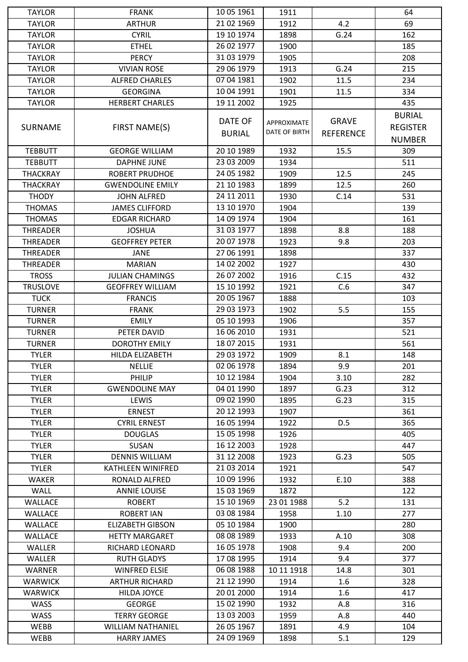| <b>TAYLOR</b>   | <b>FRANK</b>             | 10 05 1961     | 1911          |                  | 64              |
|-----------------|--------------------------|----------------|---------------|------------------|-----------------|
| <b>TAYLOR</b>   | <b>ARTHUR</b>            | 21 02 1969     | 1912          | 4.2              | 69              |
| <b>TAYLOR</b>   | <b>CYRIL</b>             | 19 10 1974     | 1898          | G.24             | 162             |
| <b>TAYLOR</b>   | <b>ETHEL</b>             | 26 02 1977     | 1900          |                  | 185             |
| <b>TAYLOR</b>   | <b>PERCY</b>             | 31 03 1979     | 1905          |                  | 208             |
| <b>TAYLOR</b>   | <b>VIVIAN ROSE</b>       | 29 06 1979     | 1913          | G.24             | 215             |
| <b>TAYLOR</b>   | <b>ALFRED CHARLES</b>    | 07 04 1981     | 1902          | 11.5             | 234             |
| <b>TAYLOR</b>   | <b>GEORGINA</b>          | 10 04 1991     | 1901          | 11.5             | 334             |
| <b>TAYLOR</b>   | <b>HERBERT CHARLES</b>   | 19 11 2002     | 1925          |                  | 435             |
|                 |                          |                |               |                  | <b>BURIAL</b>   |
| <b>SURNAME</b>  | FIRST NAME(S)            | <b>DATE OF</b> | APPROXIMATE   | <b>GRAVE</b>     | <b>REGISTER</b> |
|                 |                          | <b>BURIAL</b>  | DATE OF BIRTH | <b>REFERENCE</b> | <b>NUMBER</b>   |
| <b>TEBBUTT</b>  | <b>GEORGE WILLIAM</b>    | 20 10 1989     | 1932          | 15.5             | 309             |
|                 |                          | 23 03 2009     | 1934          |                  | 511             |
| <b>TEBBUTT</b>  | <b>DAPHNE JUNE</b>       | 24 05 1982     | 1909          | 12.5             | 245             |
| <b>THACKRAY</b> | <b>ROBERT PRUDHOE</b>    |                |               |                  |                 |
| <b>THACKRAY</b> | <b>GWENDOLINE EMILY</b>  | 21 10 1983     | 1899          | 12.5             | 260             |
| <b>THODY</b>    | <b>JOHN ALFRED</b>       | 24 11 2011     | 1930          | C.14             | 531             |
| <b>THOMAS</b>   | <b>JAMES CLIFFORD</b>    | 13 10 1970     | 1904          |                  | 139             |
| <b>THOMAS</b>   | <b>EDGAR RICHARD</b>     | 14 09 1974     | 1904          |                  | 161             |
| <b>THREADER</b> | <b>JOSHUA</b>            | 31 03 1977     | 1898          | 8.8              | 188             |
| <b>THREADER</b> | <b>GEOFFREY PETER</b>    | 20 07 1978     | 1923          | 9.8              | 203             |
| <b>THREADER</b> | <b>JANE</b>              | 27 06 1991     | 1898          |                  | 337             |
| <b>THREADER</b> | <b>MARIAN</b>            | 14 02 2002     | 1927          |                  | 430             |
| <b>TROSS</b>    | <b>JULIAN CHAMINGS</b>   | 26 07 2002     | 1916          | C.15             | 432             |
| <b>TRUSLOVE</b> | <b>GEOFFREY WILLIAM</b>  | 15 10 1992     | 1921          | C.6              | 347             |
| <b>TUCK</b>     | <b>FRANCIS</b>           | 20 05 1967     | 1888          |                  | 103             |
| <b>TURNER</b>   | <b>FRANK</b>             | 29 03 1973     | 1902          | 5.5              | 155             |
| <b>TURNER</b>   | <b>EMILY</b>             | 05 10 1993     | 1906          |                  | 357             |
| <b>TURNER</b>   | PETER DAVID              | 16 06 2010     | 1931          |                  | 521             |
| <b>TURNER</b>   | <b>DOROTHY EMILY</b>     | 18 07 2015     | 1931          |                  | 561             |
| <b>TYLER</b>    | <b>HILDA ELIZABETH</b>   | 29 03 1972     | 1909          | 8.1              | 148             |
| <b>TYLER</b>    | <b>NELLIE</b>            | 02 06 1978     | 1894          | 9.9              | 201             |
| <b>TYLER</b>    | PHILIP                   | 10 12 1984     | 1904          | 3.10             | 282             |
| <b>TYLER</b>    | <b>GWENDOLINE MAY</b>    | 04 01 1990     | 1897          | G.23             | 312             |
| <b>TYLER</b>    | LEWIS                    | 09 02 1990     | 1895          | G.23             | 315             |
| <b>TYLER</b>    | <b>ERNEST</b>            | 20 12 1993     | 1907          |                  | 361             |
| <b>TYLER</b>    | <b>CYRIL ERNEST</b>      | 16 05 1994     | 1922          | D.5              | 365             |
| <b>TYLER</b>    | <b>DOUGLAS</b>           | 15 05 1998     | 1926          |                  | 405             |
| <b>TYLER</b>    | SUSAN                    | 16 12 2003     | 1928          |                  | 447             |
| <b>TYLER</b>    | <b>DENNIS WILLIAM</b>    | 31 12 2008     | 1923          | G.23             | 505             |
| <b>TYLER</b>    | KATHLEEN WINIFRED        | 21 03 2014     | 1921          |                  | 547             |
| <b>WAKER</b>    | RONALD ALFRED            | 10 09 1996     | 1932          | E.10             | 388             |
| <b>WALL</b>     | <b>ANNIE LOUISE</b>      | 15 03 1969     | 1872          |                  | 122             |
| <b>WALLACE</b>  | <b>ROBERT</b>            | 15 10 1969     | 23 01 1988    | 5.2              | 131             |
| WALLACE         | <b>ROBERT IAN</b>        | 03 08 1984     | 1958          | 1.10             | 277             |
| WALLACE         | ELIZABETH GIBSON         | 05 10 1984     | 1900          |                  | 280             |
| <b>WALLACE</b>  | <b>HETTY MARGARET</b>    | 08 08 1989     | 1933          | A.10             | 308             |
| <b>WALLER</b>   | RICHARD LEONARD          | 16 05 1978     | 1908          | 9.4              | 200             |
| <b>WALLER</b>   | <b>RUTH GLADYS</b>       | 17 08 1995     | 1914          | 9.4              | 377             |
| <b>WARNER</b>   | <b>WINFRED ELSIE</b>     | 06 08 1988     | 10 11 1918    | 14.8             | 301             |
| <b>WARWICK</b>  | <b>ARTHUR RICHARD</b>    | 21 12 1990     | 1914          | 1.6              | 328             |
| <b>WARWICK</b>  | HILDA JOYCE              | 20 01 2000     | 1914          | 1.6              | 417             |
| <b>WASS</b>     | <b>GEORGE</b>            | 15 02 1990     | 1932          | A.8              | 316             |
| <b>WASS</b>     | <b>TERRY GEORGE</b>      | 13 03 2003     | 1959          | A.8              | 440             |
| <b>WEBB</b>     | <b>WILLIAM NATHANIEL</b> | 26 05 1967     | 1891          | 4.9              | 104             |
| WEBB            | <b>HARRY JAMES</b>       | 24 09 1969     | 1898          | 5.1              | 129             |